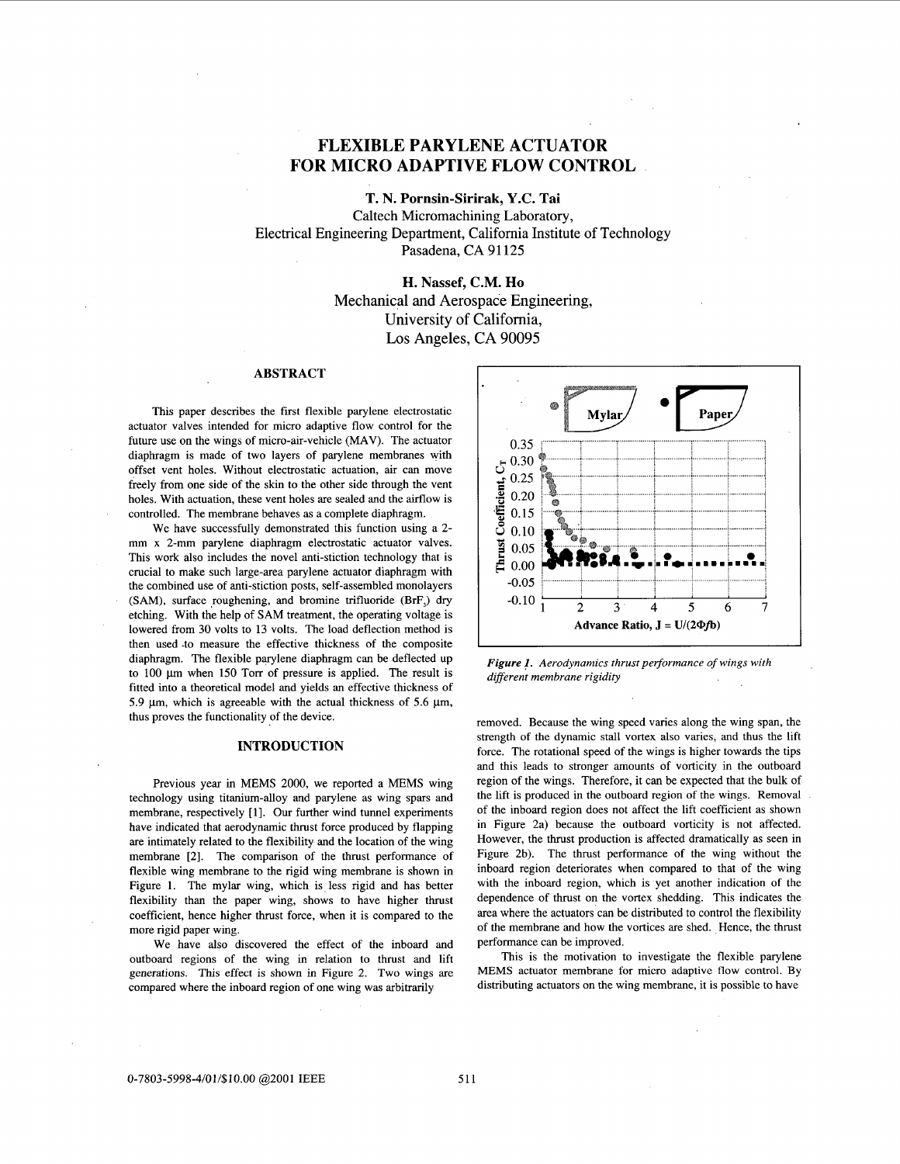# **FLEXIBLE PARYLENE ACTUATOR FOR MICRO ADAPTIVE FLOW CONTROL**

**T. N. Pornsin-Sirirak, Y.C. Tai** 

Caltech Micromachining Laboratory, Electrical Engineering Department, California Institute of Technology Pasadena, CA 91125

> **H. Nassef, C.M. Ho**  Mechanical and Aerospace Engineering, University of California, Los Angeles, CA 90095

## **ABSTRACT**

This paper describes the first flexible parylene electrostatic actuator valves intended for micro adaptive flow control for the future use on the wings of micro-air-vehicle (MAV). The actuator diaphragm is made of two layers of parylene membranes with offset vent holes. Without electrostatic actuation, air can move freely from one side of the skin to the other side through the vent holes. With actuation, these vent holes are sealed and the airflow is controlled. The membrane behaves as a complete diaphragm.

We have successfully demonstrated this function using a 2 mm x 2-mm parylene diaphragm electrostatic actuator valves. This work also includes the novel anti-stiction technology that is crucial to make such large-area parylene actuator diaphragm with the combined use of anti-stiction posts, self-assembled monolayers (SAM), surface roughening, and bromine trifluoride (BrF<sub>3</sub>) dry etching. With the help of **SAM** treatment, the operating voltage is lowered from 30 volts to 13 volts. The load deflection method is then used .to measure the effective thickness of the composite diaphragm. The flexible parylene diaphragm can be deflected up to 100 µm when 150 Torr of pressure is applied. The result is fitted into a theoretical model and yields an effective thickness of 5.9  $\mu$ m, which is agreeable with the actual thickness of 5.6  $\mu$ m, thus proves the functionality of the device.

#### **INTRODUCTION**

Previous year in MEMS 2000, we reported a MEMS wing technology using titanium-alloy and parylene as wing spars and membrane, respectively [l]. Our further wind tunnel experiments have indicated that aerodynamic thrust force produced by flapping are intimately related to the flexibility and the location of the wing membrane [2]. The comparison of the thrust performance **of**  flexible wing membrane to the rigid wing membrane is shown in Figure 1. The mylar wing, which is less rigid and has better flexibility than the paper wing, shows to have higher thrust coefficient, hence higher thrust force, when it is compared to the more rigid paper wing.

We have also discovered the effect of the inboard and outboard regions of the wing in relation to thrust and lift generations. This effect is shown in Figure 2. Two wings are compared where the inboard region of one wing was arbitrarily



*Figure* **1.** *Aerodynamics thrust performance of wings with different membrane rigidity* 

removed. Because the wing speed varies along the wing span, the strength of the dynamic stall vortex also varies, and thus the lift force. The rotational speed of the wings is higher towards the tips and this leads to stronger amounts of vorticity in the outboard region of the wings. Therefore, it can be expected that the bulk of the lift is produced in the outboard region of the wings. Removal of the inboard region does not affect the lift coefficient as shown in Figure 2a) because the outboard vorticity is not affected. However, the thrust production is affected dramatically as seen in Figure 2b). The thrust performance of the wing without the inboard region deteriorates when compared to that of the wing with the inboard region, which is yet another indication of the dependence of thrust on the vortex shedding. This indicates the area where the actuators can be distributed to control the flexibility of the membrane and how the vortices are shed. Hence, the thrust performance can be improved.

This is the motivation to investigate the flexible parylene MEMS actuator membrane for micro adaptive flow control. By distributing actuators on the wing membrane, it is possible to have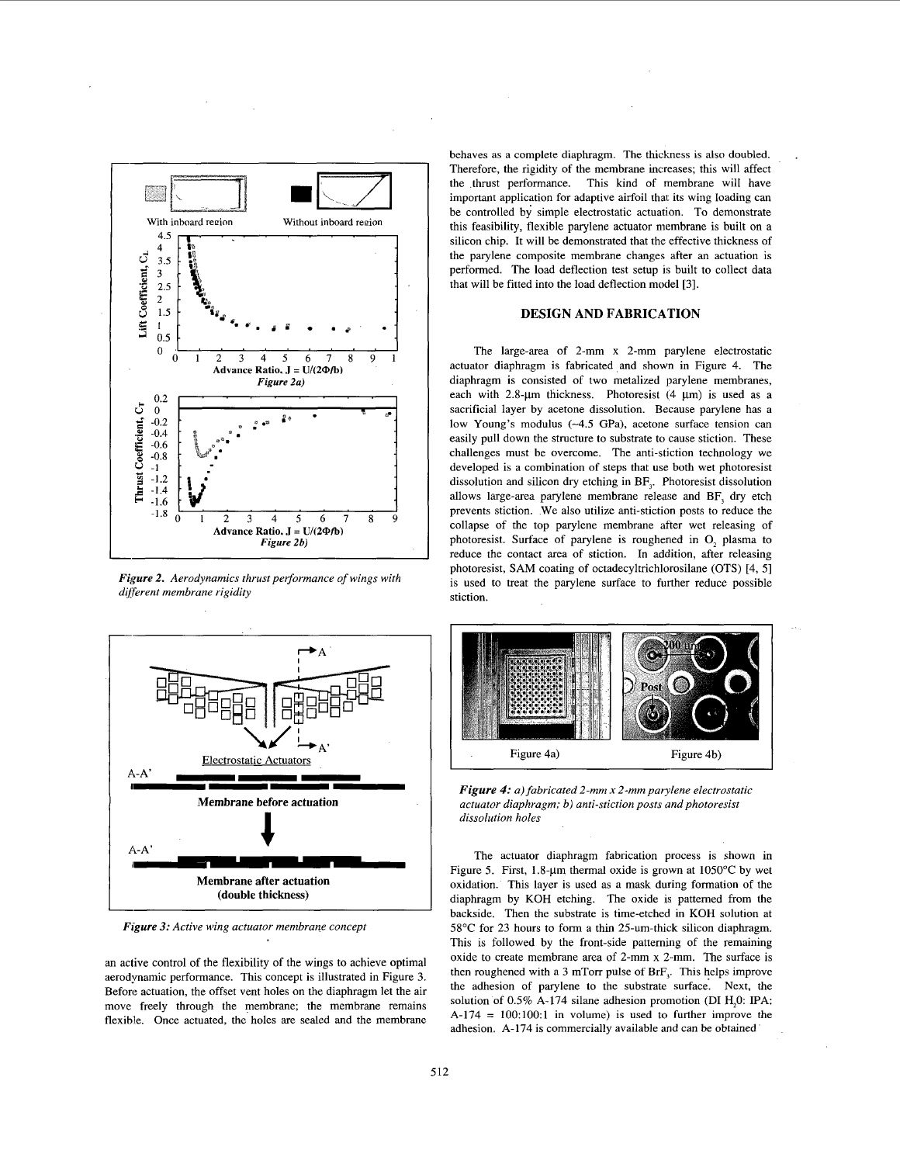

*Figure 2. Aerodynamics thrust performance of wings with*  $d$ *ifferent membrane rigidity* 



*Figure 3: Active wing actuator membrane concept* 

an active control of the flexibility of the wings to achieve optimal aerodynamic performance. This concept is illustrated in Figure 3. Before actuation, the offset vent holes on the diaphragm let the air move freely through the membrane; the membrane remains flexible. Once actuated, the holes are sealed and the membrane

behaves as a complete diaphragm. The thickness is **also** doubled. Therefore, the rigidity of the membrane increases; this will affect the thrust performance. This kind of membrane will have important application for adaptive airfoil that its wing loading can be controlled by simple electrostatic actuation. To demonstrate this feasibility, flexible parylene actuator membrane is built on a silicon chip. It will be demonstrated that the effective thickness of the parylene composite membrane changes after an actuation is performed. The load deflection test setup is built to collect data that will be fitted into the load deflection model *[3].* 

## **DESIGN AND FABRICA'TION**

The large-area of 2-mm x 2-mm parylene electrostatic actuator diaphragm is fabricated and shown in Figure 4. The diaphragm is consisted of two metalized parylene membranes, each with  $2.8 - \mu m$  thickness. Photoresist (4  $\mu$ m) is used as a sacrificial layer by acetone dissolution. Because parylene has a low Young's modulus **(-4.5** GPa), acetone surface tension can easily pull down the structure to substrate to cause stiction. These challenges must be overcome. The anti-stiction technology we developed is a combination of steps that use both wet photoresist dissolution and silicon dry etching in BF,. Photoresist dissolution allows large-area parylene membrane release and BF, dry etch prevents stiction. We also utilize anti-stiction posts to reduce the collapse of the top parylene membrane after wet releasing of photoresist. Surface of parylene is roughened in 0, plasma to reduce the contact area of stiction. In addition, after releasing photoresist, SAM coating of octadecyltrichlorosilane (OTS) [4, 51 is used to treat the parylene surface to further reduce possible stiction.



*Figure 4: a) fabricated 2-mm x 2-mm parylene electrostatic actuator diaphragm; b) anti-stiction posts and photoresist dissolution holes* 

The actuator diaphragm fabrication process is shown in Figure 5. First,  $1.8$ - $\mu$ m thermal oxide is grown at  $1050^{\circ}$ C by wet oxidation. This layer is used as a mask during formation of the diaphragm by KOH etching. The oxide is pattemed from the backside. Then the substrate is time-etched in KOH solution at 58°C for 23 hours to form a thin 25-um-thick silicon diaphragm. This is followed by the front-side patteming of the remaining oxide to create membrane area of 2-mm x 2-mm. The surface is then roughened with a 3 mTorr pulse of  $BrF<sub>3</sub>$ . This helps improve the adhesion of parylene to the substrate surface. Next, the solution of 0.5% A-174 silane adhesion promotion (DI H<sub>2</sub>0: IPA:  $A-174 = 100:100:1$  in volume) is used to further improve the adhesion. A-174 is commercially available **and** can be obtained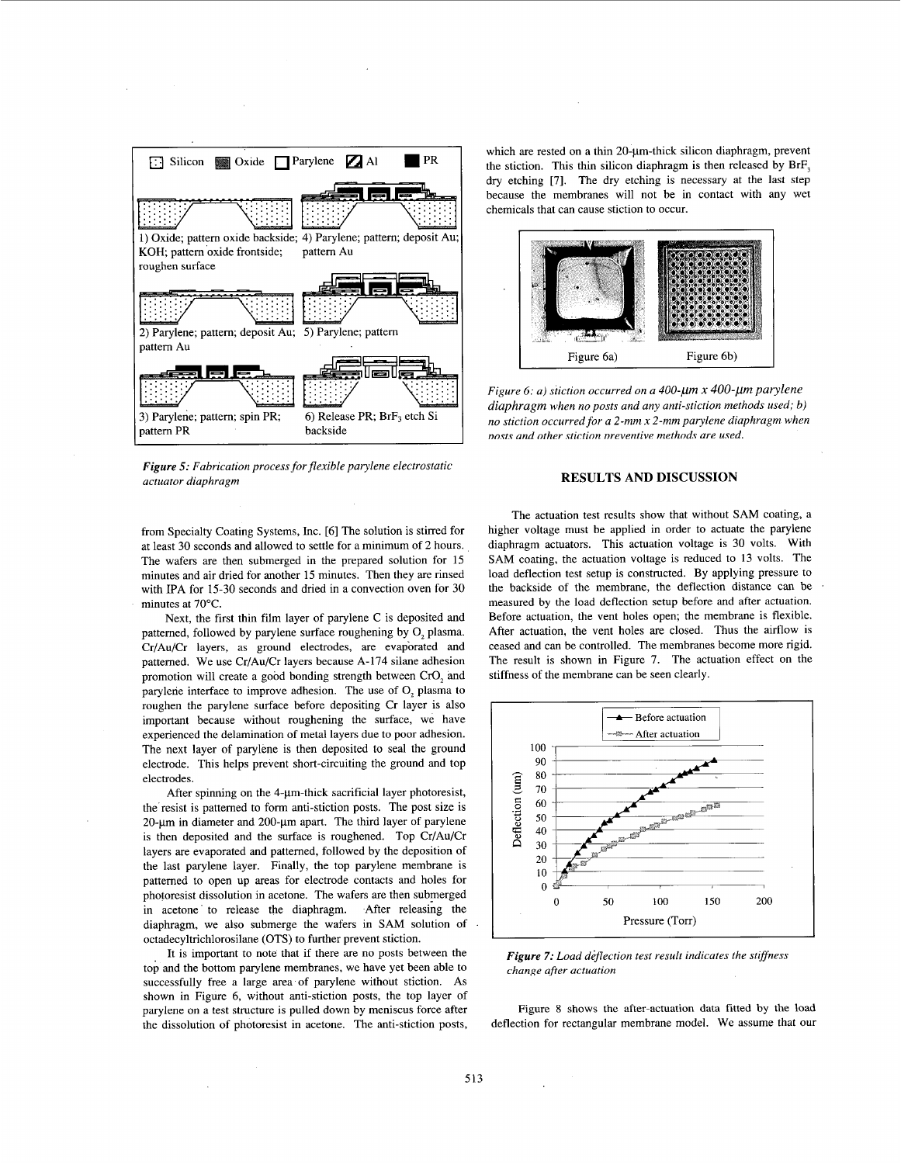

*Figure 5: Fabrication process for flexible parylene electrostatic actuator diaphragm* 

from Specialty Coating Systems, Inc. [6] The solution is stirred for at least 30 seconds and allowed to settle for a minimum of 2 hours. The wafers are then submerged in the prepared solution for 15 minutes and air dried for another 15 minutes. Then they are rinsed with IPA for 15-30 seconds and dried in a convection oven for 30 minutes at 70°C.

Next, the first thin film layer of parylene C is deposited and pattemed, followed by parylene surface roughening by 0, plasma. Cr/Au/Cr layers, as ground electrodes, are evaporated and pattemed. We use Cr/Au/Cr layers because A-174 silane adhesion promotion will create a good bonding strength between CrO, and parylene interface to improve adhesion. The use of 0, plasma to roughen the parylene surface before depositing Cr layer is also important because without roughening the surface, we have experienced the delamination of metal layers due to poor adhesion. The next layer of parylene is then deposited to seal the ground electrode. This helps prevent short-circuiting the ground and top electrodes.

After spinning on the 4- $\mu$ m-thick sacrificial layer photoresist, the resist is pattemed to form anti-stiction posts. The post size is  $20$ - $\mu$ m in diameter and  $200$ - $\mu$ m apart. The third layer of parylene is then deposited and the surface is roughened. Top Cr/Au/Cr layers are evaporated and pattemed, followed by the deposition of the last parylene layer. Finally, the top parylene membrane is patterned to open up areas for electrode contacts and holes for photoresist dissolution in acetone. The wafers are then submerged in acetone to release the diaphragm. After releasing the diaphragm, we also submerge the wafers in SAM solution of octadecyltrichlorosilane (OTS) to further prevent stiction.

It is important to note that if there are no posts between the top and the bottom parylene membranes, we have yet been able to successfully free a large area of parylene without stiction. As shown in Figure 6, without anti-stiction posts, the top layer of parylene on a test structure is pulled down by meniscus force after the dissolution of photoresist in acetone. The anti-stiction posts,

which are rested on a thin  $20$ - $\mu$ m-thick silicon diaphragm, prevent the stiction. This thin silicon diaphragm is then released by  $BrF<sub>3</sub>$ *dry* etching [7]. The dry etching is necessary at the last step because the membranes will not be in contact with any wet chemicals that can cause stiction to occur.



*Figure 6: a) stiction occurred on a 400-um x 400-um parylene diaphragm when no posts and any anti-stiction methods used; b) no stiction occurred for a 2-mm x 2-mm parylene diaphragm when nosts and other stiction preventive methods are used.* 

### **RESULTS AND DISCUSSION**

The actuation test results show that without SAM coating, a higher voltage must be applied in order to actuate the parylene diaphragm actuators. This actuation voltage is 30 volts. With SAM coating, the actuation voltage is reduced to **13** volts. The load deflection test setup is constructed. By applying pressure to the backside of the membrane, the deflection distance can be measured by the load deflection setup before and after actuation. Before actuation, the vent holes open; the membrane is flexible. After actuation, the vent holes are closed. Thus the airflow is ceased and can be controlled. The membranes become more rigid. The result is shown in Figure 7. The actuation effect on the stiffness of the membrane can be seen clearly.



*Figure 7: Load diflection test result indicates the stiffness chanze qfter actuation* 

Figure 8 shows the after-actuation data fitted by the load deflection for rectangular membrane model. We assume that our